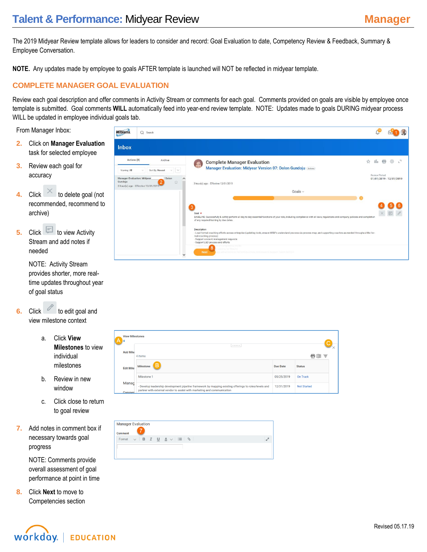# **Talent & Performance: Midyear Review <b>Manager** Manager

The 2019 Midyear Review template allows for leaders to consider and record: Goal Evaluation to date, Competency Review & Feedback, Summary & Employee Conversation.

**NOTE.** Any updates made by employee to goals AFTER template is launched will NOT be reflected in midyear template.

#### **COMPLETE MANAGER GOAL EVALUATION**

Review each goal description and offer comments in Activity Stream or comments for each goal. Comments provided on goals are visible by employee once template is submitted. Goal comments **WILL** automatically feed into year-end review template. NOTE: Updates made to goals DURING midyear process WILL be updated in employee individual goals tab.

From Manager Inbox:

- **2.** Click on **Manager Evaluation** task for selected employee
- **3.** Review each goal for accuracy
- **4.** Click to delete goal (not recommended, recommend to archive)
- **5.** Click **b** to view Activity Stream and add notes if needed

NOTE: Activity Stream provides shorter, more realtime updates throughout year of goal status

- **6.** Click to edit goal and view milestone context
	- a. Click **View Milestones** to view individual milestones
	- b. Review in new window
	- c. Click close to return to goal review
- **7.** Add notes in comment box if necessary towards goal progress

NOTE: Comments provide overall assessment of goal performance at point in time

**8.** Click **Next** to move to Competencies section



| A                | <b>View Milestones</b>                                                                                                                                                           |                 |                                  |
|------------------|----------------------------------------------------------------------------------------------------------------------------------------------------------------------------------|-----------------|----------------------------------|
| <b>Add Mile</b>  | 4 items                                                                                                                                                                          |                 | ₹<br>÷<br>$x \nleftrightarrow y$ |
| <b>Edit Mile</b> | в<br><b>Milestone</b>                                                                                                                                                            | <b>Due Date</b> | <b>Status</b>                    |
|                  | Milestone 1                                                                                                                                                                      | 05/25/2019      | On Track                         |
| Manag<br>Commen  | - Develop leadership development pipeline framework by mapping existing offerings to roles/levels and<br>partner with external vendor to assist with marketing and communication | 12/31/2019      | <b>Not Started</b>               |

| Comment |  |                                                           |  |
|---------|--|-----------------------------------------------------------|--|
| Format  |  | $\vee$ B $I$ U $\underline{A}$ $\vee$ $\equiv$ $\Diamond$ |  |